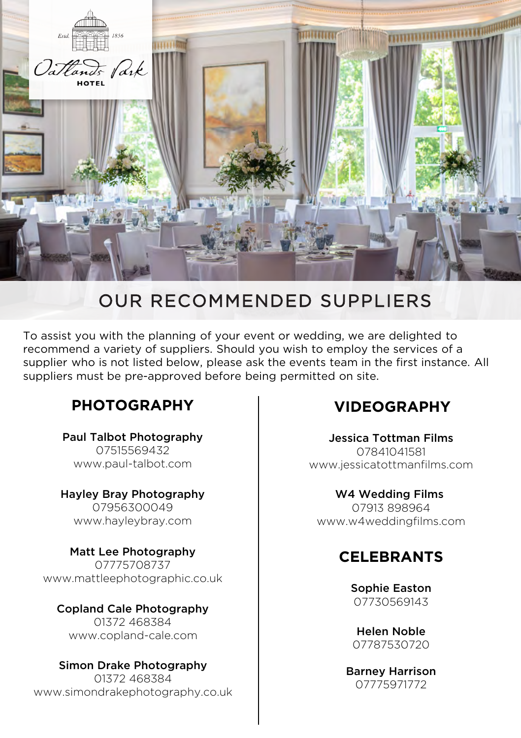

# OUR RECOMMENDED SUPPLIERS

To assist you with the planning of your event or wedding, we are delighted to recommend a variety of suppliers. Should you wish to employ the services of a supplier who is not listed below, please ask the events team in the first instance. All suppliers must be pre-approved before being permitted on site.

### **PHOTOGRAPHY**

Paul Talbot Photography 07515569432 www.paul-talbot.com

Hayley Bray Photography 07956300049 www.hayleybray.com

Matt Lee Photography 07775708737 www.mattleephotographic.co.uk

Copland Cale Photography 01372 468384 www.copland-cale.com

Simon Drake Photography 01372 468384 www.simondrakephotography.co.uk

### **VIDEOGRAPHY**

Jessica Tottman Films 07841041581 www.jessicatottmanfilms.com

W4 Wedding Films 07913 898964 www.w4weddingfilms.com

### **CELEBRANTS**

Sophie Easton 07730569143

Helen Noble 07787530720

Barney Harrison 07775971772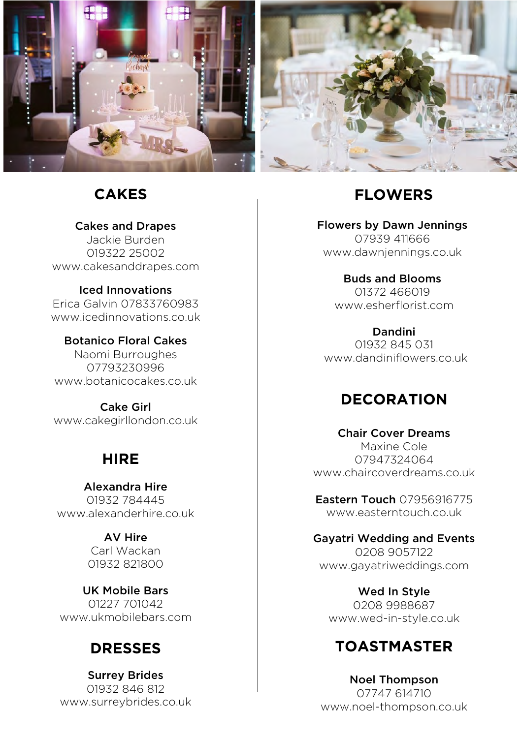

#### **CAKES**

Cakes and Drapes Jackie Burden 019322 25002 www.cakesanddrapes.com

Iced Innovations Erica Galvin 07833760983 www.icedinnovations.co.uk

Botanico Floral Cakes Naomi Burroughes 07793230996 www.botanicocakes.co.uk

Cake Girl www.cakegirllondon.co.uk

### **HIRE**

Alexandra Hire 01932 784445 www.alexanderhire.co.uk

> AV Hire Carl Wackan 01932 821800

UK Mobile Bars 01227 701042 www.ukmobilebars.com

### **DRESSES**

Surrey Brides 01932 846 812 www.surreybrides.co.uk

# **FLOWERS**

Flowers by Dawn Jennings 07939 411666 www.dawnjennings.co.uk

> Buds and Blooms 01372 466019 www.esherflorist.com

Dandini 01932 845 031 www.dandiniflowers.co.uk

### **DECORATION**

Chair Cover Dreams Maxine Cole 07947324064 www.chaircoverdreams.co.uk

Eastern Touch 07956916775 www.easterntouch.co.uk

Gayatri Wedding and Events 0208 9057122 www.gayatriweddings.com

Wed In Style 0208 9988687 www.wed-in-style.co.uk

### **TOASTMASTER**

Noel Thompson 07747 614710 www.noel-thompson.co.uk